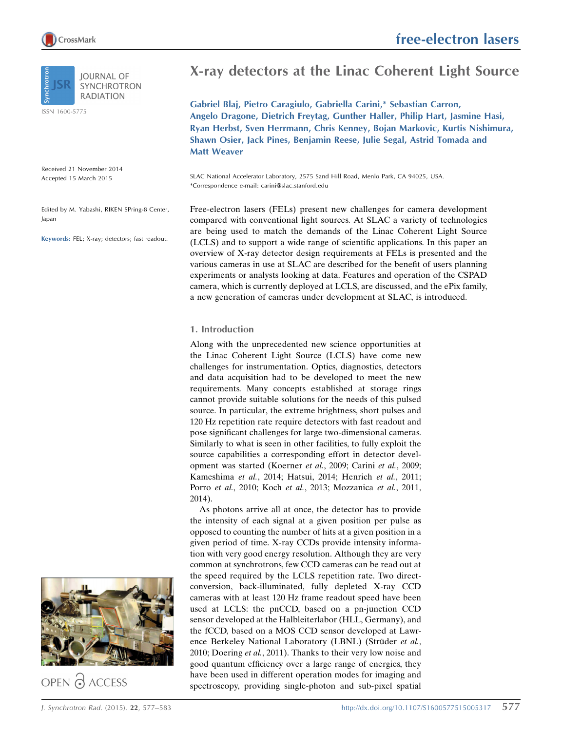

**IOURNAL OF SYNCHROTRON RADIATION** 

ISSN 1600-5775

Received 21 November 2014 Accepted 15 March 2015

Edited by M. Yabashi, RIKEN SPring-8 Center, Japan

Keywords: FEL; X-ray; detectors; fast readout.

# X-ray detectors at the Linac Coherent Light Source

Gabriel Blaj, Pietro Caragiulo, Gabriella Carini,\* Sebastian Carron, Angelo Dragone, Dietrich Freytag, Gunther Haller, Philip Hart, Jasmine Hasi, Ryan Herbst, Sven Herrmann, Chris Kenney, Bojan Markovic, Kurtis Nishimura, Shawn Osier, Jack Pines, Benjamin Reese, Julie Segal, Astrid Tomada and Matt Weaver

SLAC National Accelerator Laboratory, 2575 Sand Hill Road, Menlo Park, CA 94025, USA. \*Correspondence e-mail: carini@slac.stanford.edu

Free-electron lasers (FELs) present new challenges for camera development compared with conventional light sources. At SLAC a variety of technologies are being used to match the demands of the Linac Coherent Light Source (LCLS) and to support a wide range of scientific applications. In this paper an overview of X-ray detector design requirements at FELs is presented and the various cameras in use at SLAC are described for the benefit of users planning experiments or analysts looking at data. Features and operation of the CSPAD camera, which is currently deployed at LCLS, are discussed, and the ePix family, a new generation of cameras under development at SLAC, is introduced.

# 1. Introduction

Along with the unprecedented new science opportunities at the Linac Coherent Light Source (LCLS) have come new challenges for instrumentation. Optics, diagnostics, detectors and data acquisition had to be developed to meet the new requirements. Many concepts established at storage rings cannot provide suitable solutions for the needs of this pulsed source. In particular, the extreme brightness, short pulses and 120 Hz repetition rate require detectors with fast readout and pose significant challenges for large two-dimensional cameras. Similarly to what is seen in other facilities, to fully exploit the source capabilities a corresponding effort in detector development was started (Koerner et al., 2009; Carini et al., 2009; Kameshima et al., 2014; Hatsui, 2014; Henrich et al., 2011; Porro et al., 2010; Koch et al., 2013; Mozzanica et al., 2011, 2014).

As photons arrive all at once, the detector has to provide the intensity of each signal at a given position per pulse as opposed to counting the number of hits at a given position in a given period of time. X-ray CCDs provide intensity information with very good energy resolution. Although they are very common at synchrotrons, few CCD cameras can be read out at the speed required by the LCLS repetition rate. Two directconversion, back-illuminated, fully depleted X-ray CCD cameras with at least 120 Hz frame readout speed have been used at LCLS: the pnCCD, based on a pn-junction CCD sensor developed at the Halbleiterlabor (HLL, Germany), and the fCCD, based on a MOS CCD sensor developed at Lawrence Berkeley National Laboratory (LBNL) (Strüder et al., 2010; Doering et al., 2011). Thanks to their very low noise and good quantum efficiency over a large range of energies, they have been used in different operation modes for imaging and spectroscopy, providing single-photon and sub-pixel spatial



OPEN & ACCESS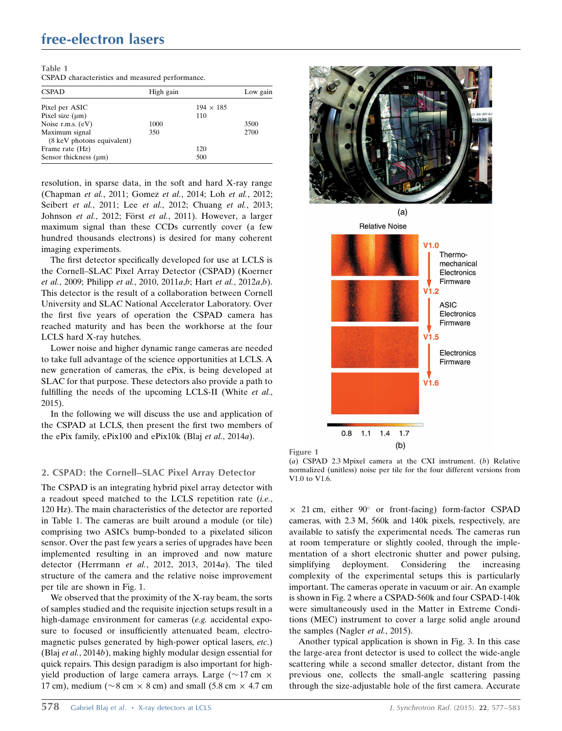| Table 1 |                                                 |  |  |
|---------|-------------------------------------------------|--|--|
|         | CSPAD characteristics and measured performance. |  |  |

| <b>CSPAD</b>               | High gain |                  | Low gain |
|----------------------------|-----------|------------------|----------|
| Pixel per ASIC             |           | $194 \times 185$ |          |
| Pixel size $(\mu m)$       |           | 110              |          |
| Noise r.m.s. (eV)          | 1000      |                  | 3500     |
| Maximum signal             | 350       |                  | 2700     |
| (8 keV photons equivalent) |           |                  |          |
| Frame rate (Hz)            |           | 120              |          |
| Sensor thickness $(\mu m)$ |           | 500              |          |

resolution, in sparse data, in the soft and hard X-ray range (Chapman et al., 2011; Gomez et al., 2014; Loh et al., 2012; Seibert et al., 2011; Lee et al., 2012; Chuang et al., 2013; Johnson et al., 2012; Först et al., 2011). However, a larger maximum signal than these CCDs currently cover (a few hundred thousands electrons) is desired for many coherent imaging experiments.

The first detector specifically developed for use at LCLS is the Cornell–SLAC Pixel Array Detector (CSPAD) (Koerner et al., 2009; Philipp et al., 2010, 2011a,b; Hart et al., 2012a,b). This detector is the result of a collaboration between Cornell University and SLAC National Accelerator Laboratory. Over the first five years of operation the CSPAD camera has reached maturity and has been the workhorse at the four LCLS hard X-ray hutches.

Lower noise and higher dynamic range cameras are needed to take full advantage of the science opportunities at LCLS. A new generation of cameras, the ePix, is being developed at SLAC for that purpose. These detectors also provide a path to fulfilling the needs of the upcoming LCLS-II (White et al., 2015).

In the following we will discuss the use and application of the CSPAD at LCLS, then present the first two members of the ePix family, ePix100 and ePix10k (Blaj et al., 2014a).

# 2. CSPAD: the Cornell–SLAC Pixel Array Detector

The CSPAD is an integrating hybrid pixel array detector with a readout speed matched to the LCLS repetition rate (i.e., 120 Hz). The main characteristics of the detector are reported in Table 1. The cameras are built around a module (or tile) comprising two ASICs bump-bonded to a pixelated silicon sensor. Over the past few years a series of upgrades have been implemented resulting in an improved and now mature detector (Herrmann et al., 2012, 2013, 2014a). The tiled structure of the camera and the relative noise improvement per tile are shown in Fig. 1.

We observed that the proximity of the X-ray beam, the sorts of samples studied and the requisite injection setups result in a high-damage environment for cameras (e.g. accidental exposure to focused or insufficiently attenuated beam, electromagnetic pulses generated by high-power optical lasers, etc.) (Blaj et al., 2014b), making highly modular design essential for quick repairs. This design paradigm is also important for highyield production of large camera arrays. Large ( $\sim$ 17 cm  $\times$ 17 cm), medium ( $\sim$ 8 cm  $\times$  8 cm) and small (5.8 cm  $\times$  4.7 cm





Figure 1 (a) CSPAD 2.3 Mpixel camera at the CXI instrument. (b) Relative normalized (unitless) noise per tile for the four different versions from V1.0 to V1.6.

 $\times$  21 cm, either 90° or front-facing) form-factor CSPAD cameras, with 2.3 M, 560k and 140k pixels, respectively, are available to satisfy the experimental needs. The cameras run at room temperature or slightly cooled, through the implementation of a short electronic shutter and power pulsing, simplifying deployment. Considering the increasing complexity of the experimental setups this is particularly important. The cameras operate in vacuum or air. An example is shown in Fig. 2 where a CSPAD-560k and four CSPAD-140k were simultaneously used in the Matter in Extreme Conditions (MEC) instrument to cover a large solid angle around the samples (Nagler et al., 2015).

Another typical application is shown in Fig. 3. In this case the large-area front detector is used to collect the wide-angle scattering while a second smaller detector, distant from the previous one, collects the small-angle scattering passing through the size-adjustable hole of the first camera. Accurate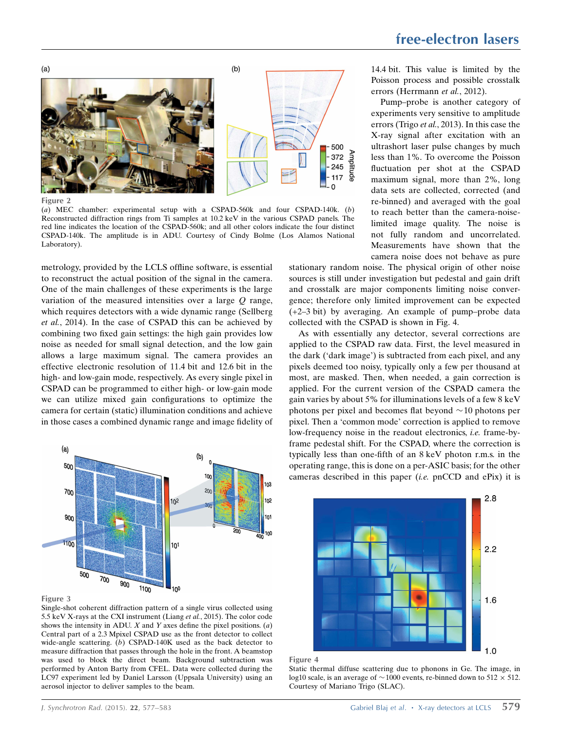

Figure 2

(a) MEC chamber: experimental setup with a CSPAD-560k and four CSPAD-140k. (b) Reconstructed diffraction rings from Ti samples at 10.2 keV in the various CSPAD panels. The red line indicates the location of the CSPAD-560k; and all other colors indicate the four distinct CSPAD-140k. The amplitude is in ADU. Courtesy of Cindy Bolme (Los Alamos National Laboratory).

metrology, provided by the LCLS offline software, is essential to reconstruct the actual position of the signal in the camera. One of the main challenges of these experiments is the large variation of the measured intensities over a large  $Q$  range, which requires detectors with a wide dynamic range (Sellberg et al., 2014). In the case of CSPAD this can be achieved by combining two fixed gain settings: the high gain provides low noise as needed for small signal detection, and the low gain allows a large maximum signal. The camera provides an effective electronic resolution of 11.4 bit and 12.6 bit in the high- and low-gain mode, respectively. As every single pixel in CSPAD can be programmed to either high- or low-gain mode we can utilize mixed gain configurations to optimize the camera for certain (static) illumination conditions and achieve in those cases a combined dynamic range and image fidelity of



Figure 3

Single-shot coherent diffraction pattern of a single virus collected using 5.5 keV X-rays at the CXI instrument (Liang et al., 2015). The color code shows the intensity in ADU.  $X$  and  $Y$  axes define the pixel positions. (a) Central part of a 2.3 Mpixel CSPAD use as the front detector to collect wide-angle scattering. (b) CSPAD-140K used as the back detector to measure diffraction that passes through the hole in the front. A beamstop was used to block the direct beam. Background subtraction was performed by Anton Barty from CFEL. Data were collected during the LC97 experiment led by Daniel Larsson (Uppsala University) using an aerosol injector to deliver samples to the beam.

14.4 bit. This value is limited by the Poisson process and possible crosstalk errors (Herrmann et al., 2012).

Pump–probe is another category of experiments very sensitive to amplitude errors (Trigo et al., 2013). In this case the X-ray signal after excitation with an ultrashort laser pulse changes by much less than 1%. To overcome the Poisson fluctuation per shot at the CSPAD maximum signal, more than 2%, long data sets are collected, corrected (and re-binned) and averaged with the goal to reach better than the camera-noiselimited image quality. The noise is not fully random and uncorrelated. Measurements have shown that the camera noise does not behave as pure

stationary random noise. The physical origin of other noise sources is still under investigation but pedestal and gain drift and crosstalk are major components limiting noise convergence; therefore only limited improvement can be expected (+2–3 bit) by averaging. An example of pump–probe data collected with the CSPAD is shown in Fig. 4.

As with essentially any detector, several corrections are applied to the CSPAD raw data. First, the level measured in the dark ('dark image') is subtracted from each pixel, and any pixels deemed too noisy, typically only a few per thousand at most, are masked. Then, when needed, a gain correction is applied. For the current version of the CSPAD camera the gain varies by about 5% for illuminations levels of a few 8 keV photons per pixel and becomes flat beyond  $\sim$  10 photons per pixel. Then a 'common mode' correction is applied to remove low-frequency noise in the readout electronics, i.e. frame-byframe pedestal shift. For the CSPAD, where the correction is typically less than one-fifth of an 8 keV photon r.m.s. in the operating range, this is done on a per-ASIC basis; for the other cameras described in this paper (i.e. pnCCD and ePix) it is





Static thermal diffuse scattering due to phonons in Ge. The image, in log10 scale, is an average of  $\sim$  1000 events, re-binned down to 512  $\times$  512. Courtesy of Mariano Trigo (SLAC).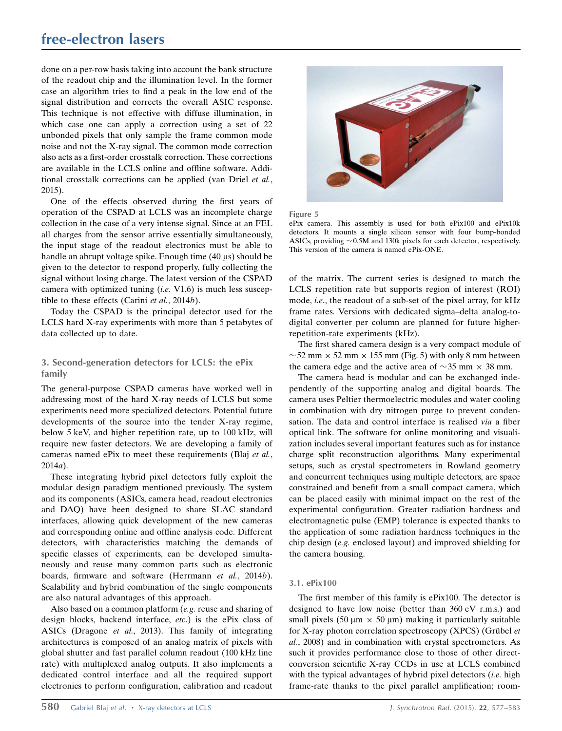# free-electron lasers

done on a per-row basis taking into account the bank structure of the readout chip and the illumination level. In the former case an algorithm tries to find a peak in the low end of the signal distribution and corrects the overall ASIC response. This technique is not effective with diffuse illumination, in which case one can apply a correction using a set of 22 unbonded pixels that only sample the frame common mode noise and not the X-ray signal. The common mode correction also acts as a first-order crosstalk correction. These corrections are available in the LCLS online and offline software. Additional crosstalk corrections can be applied (van Driel et al., 2015).

One of the effects observed during the first years of operation of the CSPAD at LCLS was an incomplete charge collection in the case of a very intense signal. Since at an FEL all charges from the sensor arrive essentially simultaneously, the input stage of the readout electronics must be able to handle an abrupt voltage spike. Enough time (40 µs) should be given to the detector to respond properly, fully collecting the signal without losing charge. The latest version of the CSPAD camera with optimized tuning  $(i.e.$  V1.6) is much less susceptible to these effects (Carini et al., 2014b).

Today the CSPAD is the principal detector used for the LCLS hard X-ray experiments with more than 5 petabytes of data collected up to date.

# 3. Second-generation detectors for LCLS: the ePix family

The general-purpose CSPAD cameras have worked well in addressing most of the hard X-ray needs of LCLS but some experiments need more specialized detectors. Potential future developments of the source into the tender X-ray regime, below 5 keV, and higher repetition rate, up to 100 kHz, will require new faster detectors. We are developing a family of cameras named ePix to meet these requirements (Blaj et al., 2014a).

These integrating hybrid pixel detectors fully exploit the modular design paradigm mentioned previously. The system and its components (ASICs, camera head, readout electronics and DAQ) have been designed to share SLAC standard interfaces, allowing quick development of the new cameras and corresponding online and offline analysis code. Different detectors, with characteristics matching the demands of specific classes of experiments, can be developed simultaneously and reuse many common parts such as electronic boards, firmware and software (Herrmann et al., 2014b). Scalability and hybrid combination of the single components are also natural advantages of this approach.

Also based on a common platform (e.g. reuse and sharing of design blocks, backend interface, etc.) is the ePix class of ASICs (Dragone et al., 2013). This family of integrating architectures is composed of an analog matrix of pixels with global shutter and fast parallel column readout (100 kHz line rate) with multiplexed analog outputs. It also implements a dedicated control interface and all the required support electronics to perform configuration, calibration and readout



Figure 5

ePix camera. This assembly is used for both ePix100 and ePix10k detectors. It mounts a single silicon sensor with four bump-bonded ASICs, providing  $\sim$  0.5M and 130k pixels for each detector, respectively. This version of the camera is named ePix-ONE.

of the matrix. The current series is designed to match the LCLS repetition rate but supports region of interest (ROI) mode, i.e., the readout of a sub-set of the pixel array, for kHz frame rates. Versions with dedicated sigma–delta analog-todigital converter per column are planned for future higherrepetition-rate experiments (kHz).

The first shared camera design is a very compact module of  $\sim$  52 mm  $\times$  52 mm  $\times$  155 mm (Fig. 5) with only 8 mm between the camera edge and the active area of  $\sim$ 35 mm  $\times$  38 mm.

The camera head is modular and can be exchanged independently of the supporting analog and digital boards. The camera uses Peltier thermoelectric modules and water cooling in combination with dry nitrogen purge to prevent condensation. The data and control interface is realised via a fiber optical link. The software for online monitoring and visualization includes several important features such as for instance charge split reconstruction algorithms. Many experimental setups, such as crystal spectrometers in Rowland geometry and concurrent techniques using multiple detectors, are space constrained and benefit from a small compact camera, which can be placed easily with minimal impact on the rest of the experimental configuration. Greater radiation hardness and electromagnetic pulse (EMP) tolerance is expected thanks to the application of some radiation hardness techniques in the chip design (e.g. enclosed layout) and improved shielding for the camera housing.

## 3.1. ePix100

The first member of this family is ePix100. The detector is designed to have low noise (better than 360 eV r.m.s.) and small pixels (50  $\mu$ m  $\times$  50  $\mu$ m) making it particularly suitable for X-ray photon correlation spectroscopy (XPCS) (Grübel et al., 2008) and in combination with crystal spectrometers. As such it provides performance close to those of other directconversion scientific X-ray CCDs in use at LCLS combined with the typical advantages of hybrid pixel detectors  $(i.e.$  high frame-rate thanks to the pixel parallel amplification; room-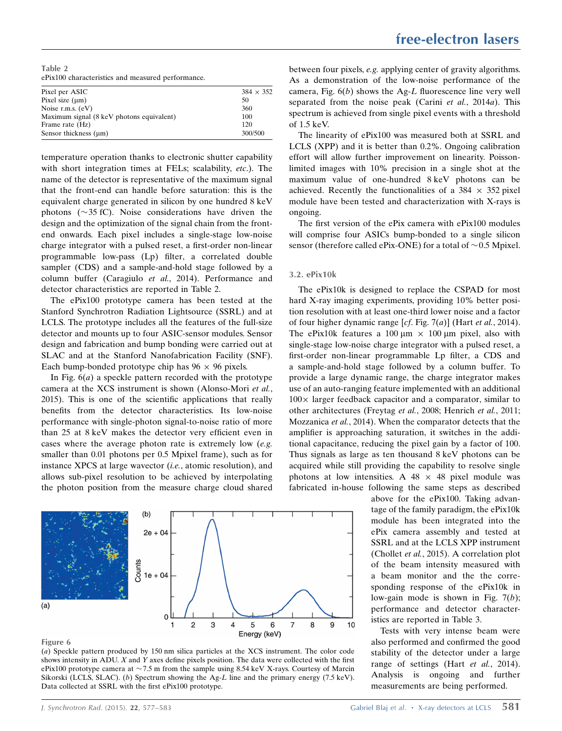Table 2 ePix100 characteristics and measured performance.

| Pixel per ASIC                            | $384 \times 352$ |
|-------------------------------------------|------------------|
| Pixel size $(\mu m)$                      | 50               |
| Noise r.m.s. $(eV)$                       | 360              |
| Maximum signal (8 keV photons equivalent) | 100              |
| Frame rate (Hz)                           | 120              |
| Sensor thickness $(\mu m)$                | 300/500          |

temperature operation thanks to electronic shutter capability with short integration times at FELs; scalability, *etc.*). The name of the detector is representative of the maximum signal that the front-end can handle before saturation: this is the equivalent charge generated in silicon by one hundred 8 keV photons  $(\sim 35 \text{ fC})$ . Noise considerations have driven the design and the optimization of the signal chain from the frontend onwards. Each pixel includes a single-stage low-noise charge integrator with a pulsed reset, a first-order non-linear programmable low-pass (Lp) filter, a correlated double sampler (CDS) and a sample-and-hold stage followed by a column buffer (Caragiulo et al., 2014). Performance and detector characteristics are reported in Table 2.

The ePix100 prototype camera has been tested at the Stanford Synchrotron Radiation Lightsource (SSRL) and at LCLS. The prototype includes all the features of the full-size detector and mounts up to four ASIC-sensor modules. Sensor design and fabrication and bump bonding were carried out at SLAC and at the Stanford Nanofabrication Facility (SNF). Each bump-bonded prototype chip has  $96 \times 96$  pixels.

In Fig.  $6(a)$  a speckle pattern recorded with the prototype camera at the XCS instrument is shown (Alonso-Mori et al., 2015). This is one of the scientific applications that really benefits from the detector characteristics. Its low-noise performance with single-photon signal-to-noise ratio of more than 25 at 8 keV makes the detector very efficient even in cases where the average photon rate is extremely low (e.g. smaller than 0.01 photons per 0.5 Mpixel frame), such as for instance XPCS at large wavector (i.e., atomic resolution), and allows sub-pixel resolution to be achieved by interpolating the photon position from the measure charge cloud shared



#### Figure 6

(a) Speckle pattern produced by 150 nm silica particles at the XCS instrument. The color code shows intensity in ADU.  $X$  and  $Y$  axes define pixels position. The data were collected with the first ePix100 prototype camera at  $\sim$  7.5 m from the sample using 8.54 keV X-rays. Courtesy of Marcin Sikorski (LCLS, SLAC). (b) Spectrum showing the Ag-L line and the primary energy  $(7.5 \text{ keV})$ . Data collected at SSRL with the first ePix100 prototype.

between four pixels, e.g. applying center of gravity algorithms. As a demonstration of the low-noise performance of the camera, Fig.  $6(b)$  shows the Ag-L fluorescence line very well separated from the noise peak (Carini et al., 2014a). This spectrum is achieved from single pixel events with a threshold of 1.5 keV.

The linearity of ePix100 was measured both at SSRL and LCLS (XPP) and it is better than 0.2%. Ongoing calibration effort will allow further improvement on linearity. Poissonlimited images with 10% precision in a single shot at the maximum value of one-hundred 8 keV photons can be achieved. Recently the functionalities of a  $384 \times 352$  pixel module have been tested and characterization with X-rays is ongoing.

The first version of the ePix camera with ePix100 modules will comprise four ASICs bump-bonded to a single silicon sensor (therefore called ePix-ONE) for a total of  $\sim$  0.5 Mpixel.

#### 3.2. ePix10k

The ePix10k is designed to replace the CSPAD for most hard X-ray imaging experiments, providing 10% better position resolution with at least one-third lower noise and a factor of four higher dynamic range  $[cf. Fig. 7(a)]$  (Hart *et al.*, 2014). The ePix10k features a 100  $\mu$ m  $\times$  100  $\mu$ m pixel, also with single-stage low-noise charge integrator with a pulsed reset, a first-order non-linear programmable Lp filter, a CDS and a sample-and-hold stage followed by a column buffer. To provide a large dynamic range, the charge integrator makes use of an auto-ranging feature implemented with an additional  $100 \times$  larger feedback capacitor and a comparator, similar to other architectures (Freytag et al., 2008; Henrich et al., 2011; Mozzanica et al., 2014). When the comparator detects that the amplifier is approaching saturation, it switches in the additional capacitance, reducing the pixel gain by a factor of 100. Thus signals as large as ten thousand 8 keV photons can be acquired while still providing the capability to resolve single photons at low intensities. A  $48 \times 48$  pixel module was fabricated in-house following the same steps as described

> above for the ePix100. Taking advantage of the family paradigm, the ePix10k module has been integrated into the ePix camera assembly and tested at SSRL and at the LCLS XPP instrument (Chollet et al., 2015). A correlation plot of the beam intensity measured with a beam monitor and the the corresponding response of the ePix10k in low-gain mode is shown in Fig.  $7(b)$ ; performance and detector characteristics are reported in Table 3.

> Tests with very intense beam were also performed and confirmed the good stability of the detector under a large range of settings (Hart et al., 2014). Analysis is ongoing and further measurements are being performed.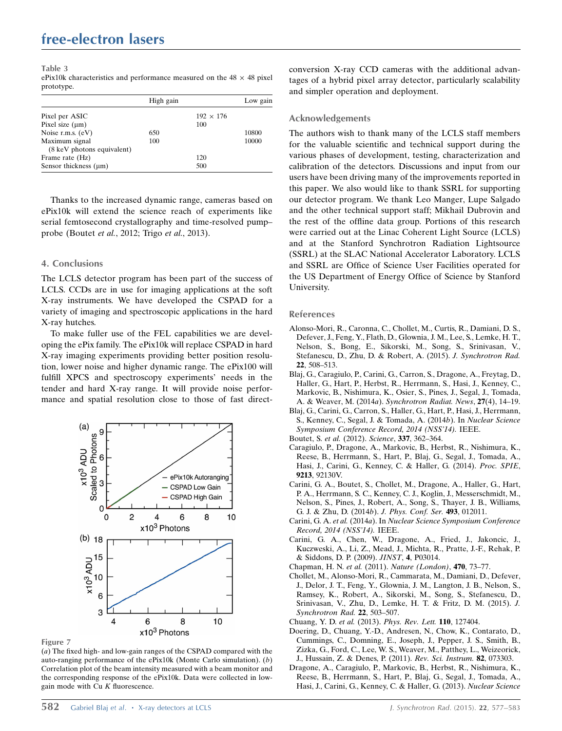| Table 3                                                                      |  |  |
|------------------------------------------------------------------------------|--|--|
| ePix10k characteristics and performance measured on the $48 \times 48$ pixel |  |  |
| prototype.                                                                   |  |  |

|                            | High gain |                  | Low gain |
|----------------------------|-----------|------------------|----------|
| Pixel per ASIC             |           | $192 \times 176$ |          |
| Pixel size $(\mu m)$       |           | 100              |          |
| Noise r.m.s. (eV)          | 650       |                  | 10800    |
| Maximum signal             | 100       |                  | 10000    |
| (8 keV photons equivalent) |           |                  |          |
| Frame rate (Hz)            |           | 120              |          |
| Sensor thickness $(\mu m)$ |           | 500              |          |

Thanks to the increased dynamic range, cameras based on ePix10k will extend the science reach of experiments like serial femtosecond crystallography and time-resolved pump– probe (Boutet et al., 2012; Trigo et al., 2013).

# 4. Conclusions

The LCLS detector program has been part of the success of LCLS. CCDs are in use for imaging applications at the soft X-ray instruments. We have developed the CSPAD for a variety of imaging and spectroscopic applications in the hard X-ray hutches.

To make fuller use of the FEL capabilities we are developing the ePix family. The ePix10k will replace CSPAD in hard X-ray imaging experiments providing better position resolution, lower noise and higher dynamic range. The ePix100 will fulfill XPCS and spectroscopy experiments' needs in the tender and hard X-ray range. It will provide noise performance and spatial resolution close to those of fast direct-



Figure 7

(a) The fixed high- and low-gain ranges of the CSPAD compared with the auto-ranging performance of the ePix10k (Monte Carlo simulation). (b) Correlation plot of the beam intensity measured with a beam monitor and the corresponding response of the ePix10k. Data were collected in lowgain mode with  $Cu K$  fluorescence.

conversion X-ray CCD cameras with the additional advantages of a hybrid pixel array detector, particularly scalability and simpler operation and deployment.

## Acknowledgements

The authors wish to thank many of the LCLS staff members for the valuable scientific and technical support during the various phases of development, testing, characterization and calibration of the detectors. Discussions and input from our users have been driving many of the improvements reported in this paper. We also would like to thank SSRL for supporting our detector program. We thank Leo Manger, Lupe Salgado and the other technical support staff; Mikhail Dubrovin and the rest of the offline data group. Portions of this research were carried out at the Linac Coherent Light Source (LCLS) and at the Stanford Synchrotron Radiation Lightsource (SSRL) at the SLAC National Accelerator Laboratory. LCLS and SSRL are Office of Science User Facilities operated for the US Department of Energy Office of Science by Stanford University.

#### References

- [Alonso-Mori, R., Caronna, C., Chollet, M., Curtis, R., Damiani, D. S.,](http://scripts.iucr.org/cgi-bin/cr.cgi?rm=pdfbb&cnor=yi5006&bbid=BB1) [Defever, J., Feng, Y., Flath, D., Glownia, J. M., Lee, S., Lemke, H. T.,](http://scripts.iucr.org/cgi-bin/cr.cgi?rm=pdfbb&cnor=yi5006&bbid=BB1) [Nelson, S., Bong, E., Sikorski, M., Song, S., Srinivasan, V.,](http://scripts.iucr.org/cgi-bin/cr.cgi?rm=pdfbb&cnor=yi5006&bbid=BB1) [Stefanescu, D., Zhu, D. & Robert, A. \(2015\).](http://scripts.iucr.org/cgi-bin/cr.cgi?rm=pdfbb&cnor=yi5006&bbid=BB1) J. Synchrotron Rad. 22[, 508–513.](http://scripts.iucr.org/cgi-bin/cr.cgi?rm=pdfbb&cnor=yi5006&bbid=BB1)
- [Blaj, G., Caragiulo, P., Carini, G., Carron, S., Dragone, A., Freytag, D.,](http://scripts.iucr.org/cgi-bin/cr.cgi?rm=pdfbb&cnor=yi5006&bbid=BB2) [Haller, G., Hart, P., Herbst, R., Herrmann, S., Hasi, J., Kenney, C.,](http://scripts.iucr.org/cgi-bin/cr.cgi?rm=pdfbb&cnor=yi5006&bbid=BB2) [Markovic, B., Nishimura, K., Osier, S., Pines, J., Segal, J., Tomada,](http://scripts.iucr.org/cgi-bin/cr.cgi?rm=pdfbb&cnor=yi5006&bbid=BB2) A. & Weaver, M. (2014a). [Synchrotron Radiat. News](http://scripts.iucr.org/cgi-bin/cr.cgi?rm=pdfbb&cnor=yi5006&bbid=BB2), 27(4), 14–19.
- [Blaj, G., Carini, G., Carron, S., Haller, G., Hart, P., Hasi, J., Herrmann,](http://scripts.iucr.org/cgi-bin/cr.cgi?rm=pdfbb&cnor=yi5006&bbid=BB3) [S., Kenney, C., Segal, J. & Tomada, A. \(2014](http://scripts.iucr.org/cgi-bin/cr.cgi?rm=pdfbb&cnor=yi5006&bbid=BB3)b). In Nuclear Science [Symposium Conference Record, 2014 \(NSS'14\).](http://scripts.iucr.org/cgi-bin/cr.cgi?rm=pdfbb&cnor=yi5006&bbid=BB3) IEEE.
- Boutet, S. et al. (2012). Science, 337[, 362–364.](http://scripts.iucr.org/cgi-bin/cr.cgi?rm=pdfbb&cnor=yi5006&bbid=BB4)
- [Caragiulo, P., Dragone, A., Markovic, B., Herbst, R., Nishimura, K.,](http://scripts.iucr.org/cgi-bin/cr.cgi?rm=pdfbb&cnor=yi5006&bbid=BB5) [Reese, B., Herrmann, S., Hart, P., Blaj, G., Segal, J., Tomada, A.,](http://scripts.iucr.org/cgi-bin/cr.cgi?rm=pdfbb&cnor=yi5006&bbid=BB5) [Hasi, J., Carini, G., Kenney, C. & Haller, G. \(2014\).](http://scripts.iucr.org/cgi-bin/cr.cgi?rm=pdfbb&cnor=yi5006&bbid=BB5) Proc. SPIE, 9213[, 92130V.](http://scripts.iucr.org/cgi-bin/cr.cgi?rm=pdfbb&cnor=yi5006&bbid=BB5)
- [Carini, G. A., Boutet, S., Chollet, M., Dragone, A., Haller, G., Hart,](http://scripts.iucr.org/cgi-bin/cr.cgi?rm=pdfbb&cnor=yi5006&bbid=BB6) [P. A., Herrmann, S. C., Kenney, C. J., Koglin, J., Messerschmidt, M.,](http://scripts.iucr.org/cgi-bin/cr.cgi?rm=pdfbb&cnor=yi5006&bbid=BB6) [Nelson, S., Pines, J., Robert, A., Song, S., Thayer, J. B., Williams,](http://scripts.iucr.org/cgi-bin/cr.cgi?rm=pdfbb&cnor=yi5006&bbid=BB6) [G. J. & Zhu, D. \(2014](http://scripts.iucr.org/cgi-bin/cr.cgi?rm=pdfbb&cnor=yi5006&bbid=BB6)b). J. Phys. Conf. Ser. 493, 012011.
- Carini, G. A. et al. (2014a). In [Nuclear Science Symposium Conference](http://scripts.iucr.org/cgi-bin/cr.cgi?rm=pdfbb&cnor=yi5006&bbid=BB7) [Record, 2014 \(NSS'14\).](http://scripts.iucr.org/cgi-bin/cr.cgi?rm=pdfbb&cnor=yi5006&bbid=BB7) IEEE.
- [Carini, G. A., Chen, W., Dragone, A., Fried, J., Jakoncic, J.,](http://scripts.iucr.org/cgi-bin/cr.cgi?rm=pdfbb&cnor=yi5006&bbid=BB8) [Kuczweski, A., Li, Z., Mead, J., Michta, R., Pratte, J.-F., Rehak, P.](http://scripts.iucr.org/cgi-bin/cr.cgi?rm=pdfbb&cnor=yi5006&bbid=BB8) [& Siddons, D. P. \(2009\).](http://scripts.iucr.org/cgi-bin/cr.cgi?rm=pdfbb&cnor=yi5006&bbid=BB8) JINST, 4, P03014.
- Chapman, H. N. et al. (2011). [Nature \(London\)](http://scripts.iucr.org/cgi-bin/cr.cgi?rm=pdfbb&cnor=yi5006&bbid=BB9), 470, 73–77.
- [Chollet, M., Alonso-Mori, R., Cammarata, M., Damiani, D., Defever,](http://scripts.iucr.org/cgi-bin/cr.cgi?rm=pdfbb&cnor=yi5006&bbid=BB10) [J., Delor, J. T., Feng, Y., Glownia, J. M., Langton, J. B., Nelson, S.,](http://scripts.iucr.org/cgi-bin/cr.cgi?rm=pdfbb&cnor=yi5006&bbid=BB10) [Ramsey, K., Robert, A., Sikorski, M., Song, S., Stefanescu, D.,](http://scripts.iucr.org/cgi-bin/cr.cgi?rm=pdfbb&cnor=yi5006&bbid=BB10) [Srinivasan, V., Zhu, D., Lemke, H. T. & Fritz, D. M. \(2015\).](http://scripts.iucr.org/cgi-bin/cr.cgi?rm=pdfbb&cnor=yi5006&bbid=BB10) J. [Synchrotron Rad.](http://scripts.iucr.org/cgi-bin/cr.cgi?rm=pdfbb&cnor=yi5006&bbid=BB10) 22, 503–507.
- Chuang, Y. D. et al. (2013). [Phys. Rev. Lett.](http://scripts.iucr.org/cgi-bin/cr.cgi?rm=pdfbb&cnor=yi5006&bbid=BB11) 110, 127404.
- [Doering, D., Chuang, Y.-D., Andresen, N., Chow, K., Contarato, D.,](http://scripts.iucr.org/cgi-bin/cr.cgi?rm=pdfbb&cnor=yi5006&bbid=BB12) [Cummings, C., Domning, E., Joseph, J., Pepper, J. S., Smith, B.,](http://scripts.iucr.org/cgi-bin/cr.cgi?rm=pdfbb&cnor=yi5006&bbid=BB12) [Zizka, G., Ford, C., Lee, W. S., Weaver, M., Patthey, L., Weizeorick,](http://scripts.iucr.org/cgi-bin/cr.cgi?rm=pdfbb&cnor=yi5006&bbid=BB12) [J., Hussain, Z. & Denes, P. \(2011\).](http://scripts.iucr.org/cgi-bin/cr.cgi?rm=pdfbb&cnor=yi5006&bbid=BB12) Rev. Sci. Instrum. 82, 073303.
- [Dragone, A., Caragiulo, P., Markovic, B., Herbst, R., Nishimura, K.,](http://scripts.iucr.org/cgi-bin/cr.cgi?rm=pdfbb&cnor=yi5006&bbid=BB13) [Reese, B., Herrmann, S., Hart, P., Blaj, G., Segal, J., Tomada, A.,](http://scripts.iucr.org/cgi-bin/cr.cgi?rm=pdfbb&cnor=yi5006&bbid=BB13) [Hasi, J., Carini, G., Kenney, C. & Haller, G. \(2013\).](http://scripts.iucr.org/cgi-bin/cr.cgi?rm=pdfbb&cnor=yi5006&bbid=BB13) Nuclear Science